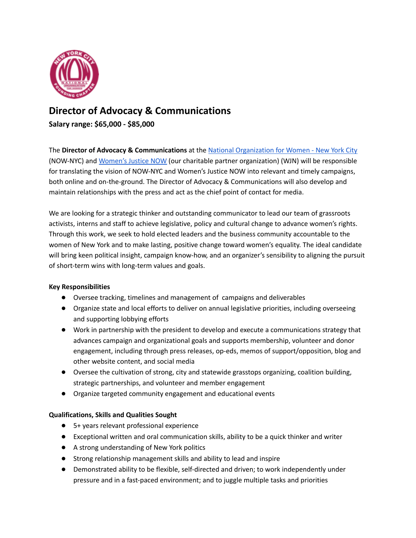

## **Director of Advocacy & Communications**

**Salary range: \$65,000 - \$85,000**

The **Director of Advocacy & Communications** at the [N](http://nownyc.org/)ational [Organization](http://www.nownyc.org/) for Women - New York City (NOW-NYC) and [Women's](https://nownyc.org/womens-justice-now/) Justice NOW (our charitable partner organization) (WJN) will be responsible for translating the vision of NOW-NYC and Women's Justice NOW into relevant and timely campaigns, both online and on-the-ground. The Director of Advocacy & Communications will also develop and maintain relationships with the press and act as the chief point of contact for media.

We are looking for a strategic thinker and outstanding communicator to lead our team of grassroots activists, interns and staff to achieve legislative, policy and cultural change to advance women's rights. Through this work, we seek to hold elected leaders and the business community accountable to the women of New York and to make lasting, positive change toward women's equality. The ideal candidate will bring keen political insight, campaign know-how, and an organizer's sensibility to aligning the pursuit of short-term wins with long-term values and goals.

## **Key Responsibilities**

- Oversee tracking, timelines and management of campaigns and deliverables
- Organize state and local efforts to deliver on annual legislative priorities, including overseeing and supporting lobbying efforts
- Work in partnership with the president to develop and execute a communications strategy that advances campaign and organizational goals and supports membership, volunteer and donor engagement, including through press releases, op-eds, memos of support/opposition, blog and other website content, and social media
- Oversee the cultivation of strong, city and statewide grasstops organizing, coalition building, strategic partnerships, and volunteer and member engagement
- Organize targeted community engagement and educational events

## **Qualifications, Skills and Qualities Sought**

- 5+ years relevant professional experience
- Exceptional written and oral communication skills, ability to be a quick thinker and writer
- A strong understanding of New York politics
- Strong relationship management skills and ability to lead and inspire
- Demonstrated ability to be flexible, self-directed and driven; to work independently under pressure and in a fast-paced environment; and to juggle multiple tasks and priorities